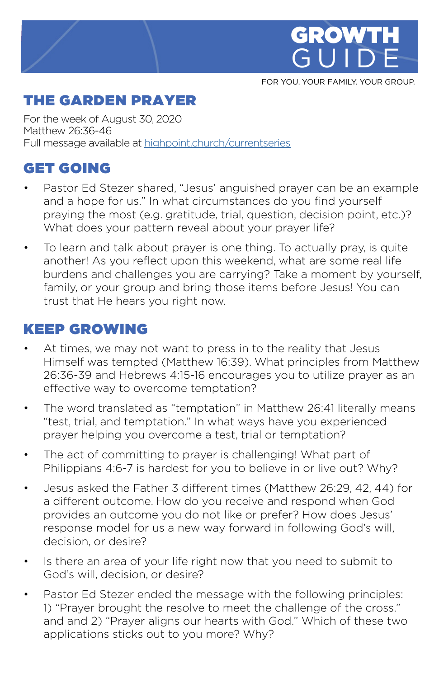

FOR YOU. YOUR FAMILY. YOUR GROUP.

## THE GARDEN PRAYER

For the week of August 30, 2020 Matthew 26:36-46 Full message available at [highpoint.church/currentseries](http://highpoint.church/currentseries)

# GET GOING

- Pastor Ed Stezer shared, "Jesus' anguished prayer can be an example and a hope for us." In what circumstances do you find yourself praying the most (e.g. gratitude, trial, question, decision point, etc.)? What does your pattern reveal about your prayer life?
- To learn and talk about prayer is one thing. To actually pray, is quite another! As you reflect upon this weekend, what are some real life burdens and challenges you are carrying? Take a moment by yourself, family, or your group and bring those items before Jesus! You can trust that He hears you right now.

### KEEP GROWING

- At times, we may not want to press in to the reality that Jesus Himself was tempted (Matthew 16:39). What principles from Matthew 26:36-39 and Hebrews 4:15-16 encourages you to utilize prayer as an effective way to overcome temptation?
- The word translated as "temptation" in Matthew 26:41 literally means "test, trial, and temptation." In what ways have you experienced prayer helping you overcome a test, trial or temptation?
- The act of committing to prayer is challenging! What part of Philippians 4:6-7 is hardest for you to believe in or live out? Why?
- Jesus asked the Father 3 different times (Matthew 26:29, 42, 44) for a different outcome. How do you receive and respond when God provides an outcome you do not like or prefer? How does Jesus' response model for us a new way forward in following God's will, decision, or desire?
- Is there an area of your life right now that you need to submit to God's will, decision, or desire?
- Pastor Ed Stezer ended the message with the following principles: 1) "Prayer brought the resolve to meet the challenge of the cross." and and 2) "Prayer aligns our hearts with God." Which of these two applications sticks out to you more? Why?